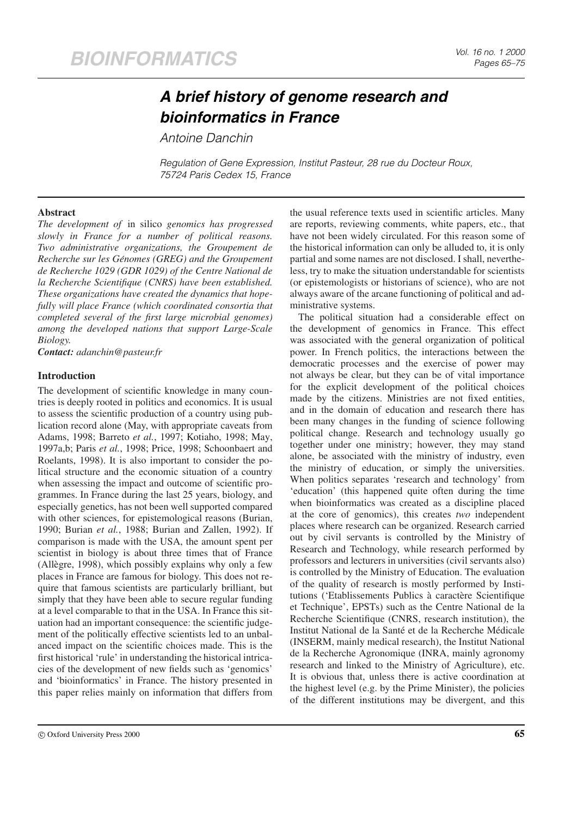# *A brief history of genome research and bioinformatics in France*

*Antoine Danchin*

*Regulation of Gene Expression, Institut Pasteur, 28 rue du Docteur Roux, 75724 Paris Cedex 15, France*

# **Abstract**

*The development of* in silico *genomics has progressed slowly in France for a number of political reasons. Two administrative organizations, the Groupement de Recherche sur les Genomes (GREG) and the Groupement ´ de Recherche 1029 (GDR 1029) of the Centre National de la Recherche Scientifique (CNRS) have been established. These organizations have created the dynamics that hopefully will place France (which coordinated consortia that completed several of the first large microbial genomes) among the developed nations that support Large-Scale Biology.*

*Contact: adanchin@pasteur.fr*

## **Introduction**

The development of scientific knowledge in many countries is deeply rooted in politics and economics. It is usual to assess the scientific production of a country using publication record alone (May, with appropriate caveats from Adams, 1998; Barreto *et al.*, 1997; Kotiaho, 1998; May, 1997a,b; Paris *et al.*, 1998; Price, 1998; Schoonbaert and Roelants, 1998). It is also important to consider the political structure and the economic situation of a country when assessing the impact and outcome of scientific programmes. In France during the last 25 years, biology, and especially genetics, has not been well supported compared with other sciences, for epistemological reasons (Burian, 1990; Burian *et al.*, 1988; Burian and Zallen, 1992). If comparison is made with the USA, the amount spent per scientist in biology is about three times that of France (Allegre, 1998), which possibly explains why only a few ` places in France are famous for biology. This does not require that famous scientists are particularly brilliant, but simply that they have been able to secure regular funding at a level comparable to that in the USA. In France this situation had an important consequence: the scientific judgement of the politically effective scientists led to an unbalanced impact on the scientific choices made. This is the first historical 'rule' in understanding the historical intricacies of the development of new fields such as 'genomics' and 'bioinformatics' in France. The history presented in this paper relies mainly on information that differs from

the usual reference texts used in scientific articles. Many are reports, reviewing comments, white papers, etc., that have not been widely circulated. For this reason some of the historical information can only be alluded to, it is only partial and some names are not disclosed. I shall, nevertheless, try to make the situation understandable for scientists (or epistemologists or historians of science), who are not always aware of the arcane functioning of political and administrative systems.

The political situation had a considerable effect on the development of genomics in France. This effect was associated with the general organization of political power. In French politics, the interactions between the democratic processes and the exercise of power may not always be clear, but they can be of vital importance for the explicit development of the political choices made by the citizens. Ministries are not fixed entities, and in the domain of education and research there has been many changes in the funding of science following political change. Research and technology usually go together under one ministry; however, they may stand alone, be associated with the ministry of industry, even the ministry of education, or simply the universities. When politics separates 'research and technology' from 'education' (this happened quite often during the time when bioinformatics was created as a discipline placed at the core of genomics), this creates *two* independent places where research can be organized. Research carried out by civil servants is controlled by the Ministry of Research and Technology, while research performed by professors and lecturers in universities (civil servants also) is controlled by the Ministry of Education. The evaluation of the quality of research is mostly performed by Institutions ('Etablissements Publics à caractère Scientifique et Technique', EPSTs) such as the Centre National de la Recherche Scientifique (CNRS, research institution), the Institut National de la Santé et de la Recherche Médicale (INSERM, mainly medical research), the Institut National de la Recherche Agronomique (INRA, mainly agronomy research and linked to the Ministry of Agriculture), etc. It is obvious that, unless there is active coordination at the highest level (e.g. by the Prime Minister), the policies of the different institutions may be divergent, and this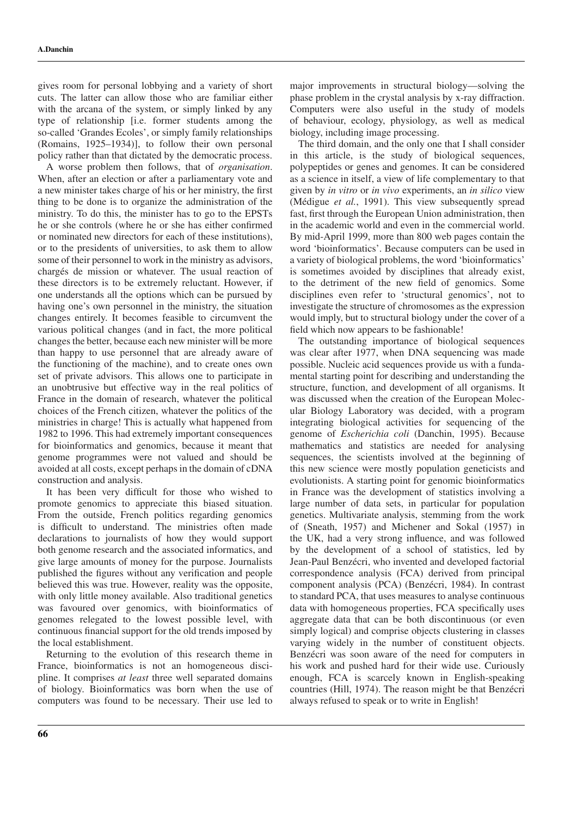gives room for personal lobbying and a variety of short cuts. The latter can allow those who are familiar either with the arcana of the system, or simply linked by any type of relationship [i.e. former students among the so-called 'Grandes Ecoles', or simply family relationships (Romains, 1925–1934)], to follow their own personal policy rather than that dictated by the democratic process.

A worse problem then follows, that of *organisation*. When, after an election or after a parliamentary vote and a new minister takes charge of his or her ministry, the first thing to be done is to organize the administration of the ministry. To do this, the minister has to go to the EPSTs he or she controls (where he or she has either confirmed or nominated new directors for each of these institutions), or to the presidents of universities, to ask them to allow some of their personnel to work in the ministry as advisors, chargés de mission or whatever. The usual reaction of these directors is to be extremely reluctant. However, if one understands all the options which can be pursued by having one's own personnel in the ministry, the situation changes entirely. It becomes feasible to circumvent the various political changes (and in fact, the more political changes the better, because each new minister will be more than happy to use personnel that are already aware of the functioning of the machine), and to create ones own set of private advisors. This allows one to participate in an unobtrusive but effective way in the real politics of France in the domain of research, whatever the political choices of the French citizen, whatever the politics of the ministries in charge! This is actually what happened from 1982 to 1996. This had extremely important consequences for bioinformatics and genomics, because it meant that genome programmes were not valued and should be avoided at all costs, except perhaps in the domain of cDNA construction and analysis.

It has been very difficult for those who wished to promote genomics to appreciate this biased situation. From the outside, French politics regarding genomics is difficult to understand. The ministries often made declarations to journalists of how they would support both genome research and the associated informatics, and give large amounts of money for the purpose. Journalists published the figures without any verification and people believed this was true. However, reality was the opposite, with only little money available. Also traditional genetics was favoured over genomics, with bioinformatics of genomes relegated to the lowest possible level, with continuous financial support for the old trends imposed by the local establishment.

Returning to the evolution of this research theme in France, bioinformatics is not an homogeneous discipline. It comprises *at least* three well separated domains of biology. Bioinformatics was born when the use of computers was found to be necessary. Their use led to

**66**

major improvements in structural biology—solving the phase problem in the crystal analysis by x-ray diffraction. Computers were also useful in the study of models of behaviour, ecology, physiology, as well as medical biology, including image processing.

The third domain, and the only one that I shall consider in this article, is the study of biological sequences, polypeptides or genes and genomes. It can be considered as a science in itself, a view of life complementary to that given by *in vitro* or *in vivo* experiments, an *in silico* view (Médigue et al., 1991). This view subsequently spread fast, first through the European Union administration, then in the academic world and even in the commercial world. By mid-April 1999, more than 800 web pages contain the word 'bioinformatics'. Because computers can be used in a variety of biological problems, the word 'bioinformatics' is sometimes avoided by disciplines that already exist, to the detriment of the new field of genomics. Some disciplines even refer to 'structural genomics', not to investigate the structure of chromosomes as the expression would imply, but to structural biology under the cover of a field which now appears to be fashionable!

The outstanding importance of biological sequences was clear after 1977, when DNA sequencing was made possible. Nucleic acid sequences provide us with a fundamental starting point for describing and understanding the structure, function, and development of all organisms. It was discussed when the creation of the European Molecular Biology Laboratory was decided, with a program integrating biological activities for sequencing of the genome of *Escherichia coli* (Danchin, 1995). Because mathematics and statistics are needed for analysing sequences, the scientists involved at the beginning of this new science were mostly population geneticists and evolutionists. A starting point for genomic bioinformatics in France was the development of statistics involving a large number of data sets, in particular for population genetics. Multivariate analysis, stemming from the work of (Sneath, 1957) and Michener and Sokal (1957) in the UK, had a very strong influence, and was followed by the development of a school of statistics, led by Jean-Paul Benzécri, who invented and developed factorial correspondence analysis (FCA) derived from principal component analysis (PCA) (Benzécri, 1984). In contrast to standard PCA, that uses measures to analyse continuous data with homogeneous properties, FCA specifically uses aggregate data that can be both discontinuous (or even simply logical) and comprise objects clustering in classes varying widely in the number of constituent objects. Benzécri was soon aware of the need for computers in his work and pushed hard for their wide use. Curiously enough, FCA is scarcely known in English-speaking countries (Hill, 1974). The reason might be that Benzécri always refused to speak or to write in English!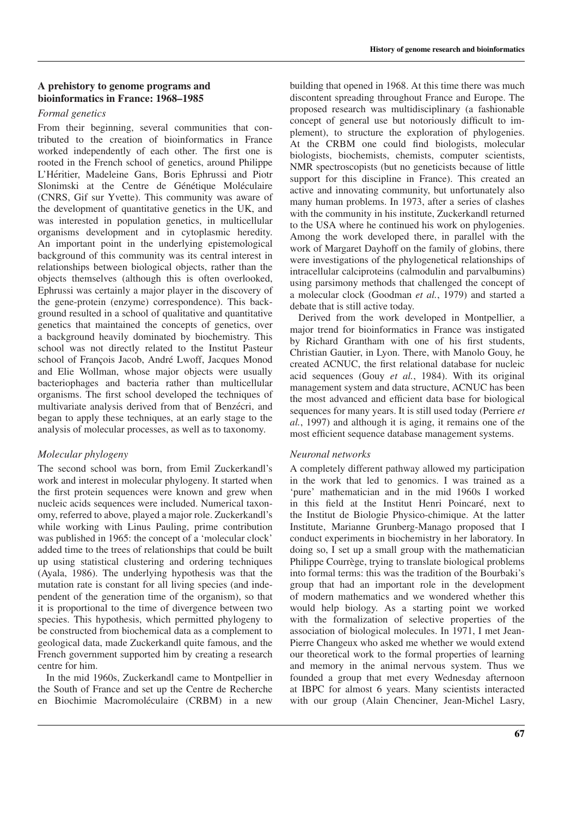# **A prehistory to genome programs and bioinformatics in France: 1968–1985**

## *Formal genetics*

From their beginning, several communities that contributed to the creation of bioinformatics in France worked independently of each other. The first one is rooted in the French school of genetics, around Philippe L'Heritier, Madeleine Gans, Boris Ephrussi and Piotr ´ Slonimski at the Centre de Génétique Moléculaire (CNRS, Gif sur Yvette). This community was aware of the development of quantitative genetics in the UK, and was interested in population genetics, in multicellular organisms development and in cytoplasmic heredity. An important point in the underlying epistemological background of this community was its central interest in relationships between biological objects, rather than the objects themselves (although this is often overlooked, Ephrussi was certainly a major player in the discovery of the gene-protein (enzyme) correspondence). This background resulted in a school of qualitative and quantitative genetics that maintained the concepts of genetics, over a background heavily dominated by biochemistry. This school was not directly related to the Institut Pasteur school of François Jacob, André Lwoff, Jacques Monod and Elie Wollman, whose major objects were usually bacteriophages and bacteria rather than multicellular organisms. The first school developed the techniques of multivariate analysis derived from that of Benzécri, and began to apply these techniques, at an early stage to the analysis of molecular processes, as well as to taxonomy.

# *Molecular phylogeny*

The second school was born, from Emil Zuckerkandl's work and interest in molecular phylogeny. It started when the first protein sequences were known and grew when nucleic acids sequences were included. Numerical taxonomy, referred to above, played a major role. Zuckerkandl's while working with Linus Pauling, prime contribution was published in 1965: the concept of a 'molecular clock' added time to the trees of relationships that could be built up using statistical clustering and ordering techniques (Ayala, 1986). The underlying hypothesis was that the mutation rate is constant for all living species (and independent of the generation time of the organism), so that it is proportional to the time of divergence between two species. This hypothesis, which permitted phylogeny to be constructed from biochemical data as a complement to geological data, made Zuckerkandl quite famous, and the French government supported him by creating a research centre for him.

In the mid 1960s, Zuckerkandl came to Montpellier in the South of France and set up the Centre de Recherche en Biochimie Macromoléculaire (CRBM) in a new

building that opened in 1968. At this time there was much discontent spreading throughout France and Europe. The proposed research was multidisciplinary (a fashionable concept of general use but notoriously difficult to implement), to structure the exploration of phylogenies. At the CRBM one could find biologists, molecular biologists, biochemists, chemists, computer scientists, NMR spectroscopists (but no geneticists because of little support for this discipline in France). This created an active and innovating community, but unfortunately also many human problems. In 1973, after a series of clashes with the community in his institute, Zuckerkandl returned to the USA where he continued his work on phylogenies. Among the work developed there, in parallel with the work of Margaret Dayhoff on the family of globins, there were investigations of the phylogenetical relationships of intracellular calciproteins (calmodulin and parvalbumins) using parsimony methods that challenged the concept of a molecular clock (Goodman *et al.*, 1979) and started a debate that is still active today.

Derived from the work developed in Montpellier, a major trend for bioinformatics in France was instigated by Richard Grantham with one of his first students, Christian Gautier, in Lyon. There, with Manolo Gouy, he created ACNUC, the first relational database for nucleic acid sequences (Gouy *et al.*, 1984). With its original management system and data structure, ACNUC has been the most advanced and efficient data base for biological sequences for many years. It is still used today (Perriere *et al.*, 1997) and although it is aging, it remains one of the most efficient sequence database management systems.

# *Neuronal networks*

A completely different pathway allowed my participation in the work that led to genomics. I was trained as a 'pure' mathematician and in the mid 1960s I worked in this field at the Institut Henri Poincaré, next to the Institut de Biologie Physico-chimique. At the latter Institute, Marianne Grunberg-Manago proposed that I conduct experiments in biochemistry in her laboratory. In doing so, I set up a small group with the mathematician Philippe Courrège, trying to translate biological problems into formal terms: this was the tradition of the Bourbaki's group that had an important role in the development of modern mathematics and we wondered whether this would help biology. As a starting point we worked with the formalization of selective properties of the association of biological molecules. In 1971, I met Jean-Pierre Changeux who asked me whether we would extend our theoretical work to the formal properties of learning and memory in the animal nervous system. Thus we founded a group that met every Wednesday afternoon at IBPC for almost 6 years. Many scientists interacted with our group (Alain Chenciner, Jean-Michel Lasry,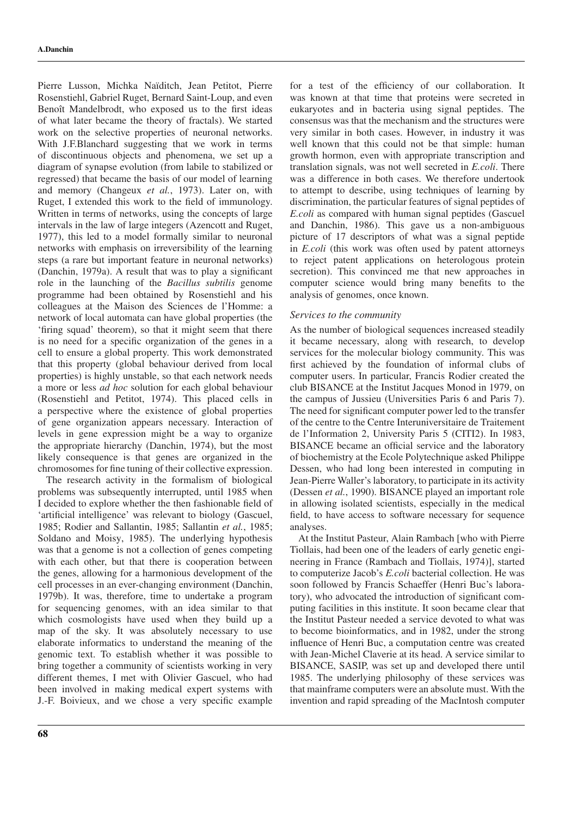Pierre Lusson, Michka Na¨ıditch, Jean Petitot, Pierre Rosenstiehl, Gabriel Ruget, Bernard Saint-Loup, and even Benoît Mandelbrodt, who exposed us to the first ideas of what later became the theory of fractals). We started work on the selective properties of neuronal networks. With J.F.Blanchard suggesting that we work in terms of discontinuous objects and phenomena, we set up a diagram of synapse evolution (from labile to stabilized or regressed) that became the basis of our model of learning and memory (Changeux *et al.*, 1973). Later on, with Ruget, I extended this work to the field of immunology. Written in terms of networks, using the concepts of large intervals in the law of large integers (Azencott and Ruget, 1977), this led to a model formally similar to neuronal networks with emphasis on irreversibility of the learning steps (a rare but important feature in neuronal networks) (Danchin, 1979a). A result that was to play a significant role in the launching of the *Bacillus subtilis* genome programme had been obtained by Rosenstiehl and his colleagues at the Maison des Sciences de l'Homme: a network of local automata can have global properties (the 'firing squad' theorem), so that it might seem that there is no need for a specific organization of the genes in a cell to ensure a global property. This work demonstrated that this property (global behaviour derived from local properties) is highly unstable, so that each network needs a more or less *ad hoc* solution for each global behaviour (Rosenstiehl and Petitot, 1974). This placed cells in a perspective where the existence of global properties of gene organization appears necessary. Interaction of levels in gene expression might be a way to organize the appropriate hierarchy (Danchin, 1974), but the most likely consequence is that genes are organized in the chromosomes for fine tuning of their collective expression.

The research activity in the formalism of biological problems was subsequently interrupted, until 1985 when I decided to explore whether the then fashionable field of 'artificial intelligence' was relevant to biology (Gascuel, 1985; Rodier and Sallantin, 1985; Sallantin *et al.*, 1985; Soldano and Moisy, 1985). The underlying hypothesis was that a genome is not a collection of genes competing with each other, but that there is cooperation between the genes, allowing for a harmonious development of the cell processes in an ever-changing environment (Danchin, 1979b). It was, therefore, time to undertake a program for sequencing genomes, with an idea similar to that which cosmologists have used when they build up a map of the sky. It was absolutely necessary to use elaborate informatics to understand the meaning of the genomic text. To establish whether it was possible to bring together a community of scientists working in very different themes, I met with Olivier Gascuel, who had been involved in making medical expert systems with J.-F. Boivieux, and we chose a very specific example

for a test of the efficiency of our collaboration. It was known at that time that proteins were secreted in eukaryotes and in bacteria using signal peptides. The consensus was that the mechanism and the structures were very similar in both cases. However, in industry it was well known that this could not be that simple: human growth hormon, even with appropriate transcription and translation signals, was not well secreted in *E.coli*. There was a difference in both cases. We therefore undertook to attempt to describe, using techniques of learning by discrimination, the particular features of signal peptides of *E.coli* as compared with human signal peptides (Gascuel and Danchin, 1986). This gave us a non-ambiguous picture of 17 descriptors of what was a signal peptide in *E.coli* (this work was often used by patent attorneys to reject patent applications on heterologous protein secretion). This convinced me that new approaches in computer science would bring many benefits to the analysis of genomes, once known.

## *Services to the community*

As the number of biological sequences increased steadily it became necessary, along with research, to develop services for the molecular biology community. This was first achieved by the foundation of informal clubs of computer users. In particular, Francis Rodier created the club BISANCE at the Institut Jacques Monod in 1979, on the campus of Jussieu (Universities Paris 6 and Paris 7). The need for significant computer power led to the transfer of the centre to the Centre Interuniversitaire de Traitement de l'Information 2, University Paris 5 (CITI2). In 1983, BISANCE became an official service and the laboratory of biochemistry at the Ecole Polytechnique asked Philippe Dessen, who had long been interested in computing in Jean-Pierre Waller's laboratory, to participate in its activity (Dessen *et al.*, 1990). BISANCE played an important role in allowing isolated scientists, especially in the medical field, to have access to software necessary for sequence analyses.

At the Institut Pasteur, Alain Rambach [who with Pierre Tiollais, had been one of the leaders of early genetic engineering in France (Rambach and Tiollais, 1974)], started to computerize Jacob's *E.coli* bacterial collection. He was soon followed by Francis Schaeffer (Henri Buc's laboratory), who advocated the introduction of significant computing facilities in this institute. It soon became clear that the Institut Pasteur needed a service devoted to what was to become bioinformatics, and in 1982, under the strong influence of Henri Buc, a computation centre was created with Jean-Michel Claverie at its head. A service similar to BISANCE, SASIP, was set up and developed there until 1985. The underlying philosophy of these services was that mainframe computers were an absolute must. With the invention and rapid spreading of the MacIntosh computer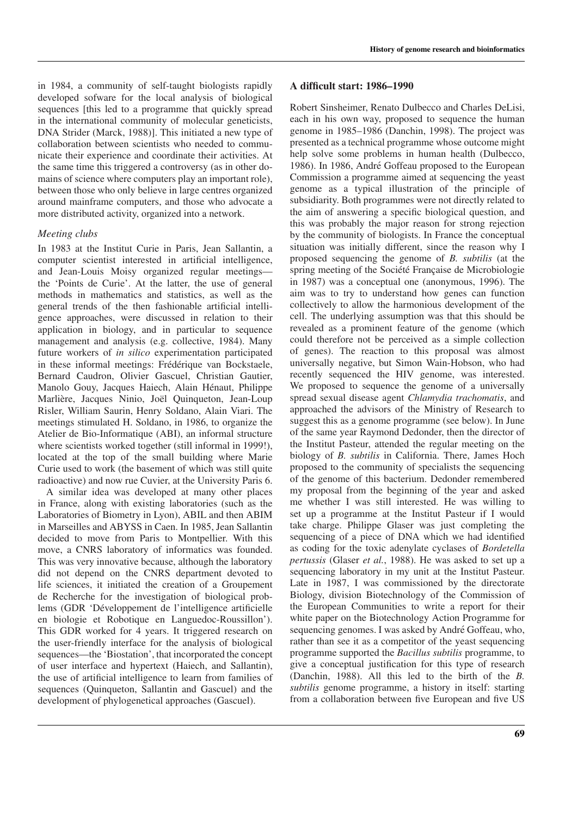in 1984, a community of self-taught biologists rapidly developed sofware for the local analysis of biological sequences [this led to a programme that quickly spread in the international community of molecular geneticists, DNA Strider (Marck, 1988)]. This initiated a new type of collaboration between scientists who needed to communicate their experience and coordinate their activities. At the same time this triggered a controversy (as in other domains of science where computers play an important role), between those who only believe in large centres organized around mainframe computers, and those who advocate a more distributed activity, organized into a network.

#### *Meeting clubs*

In 1983 at the Institut Curie in Paris, Jean Sallantin, a computer scientist interested in artificial intelligence, and Jean-Louis Moisy organized regular meetings the 'Points de Curie'. At the latter, the use of general methods in mathematics and statistics, as well as the general trends of the then fashionable artificial intelligence approaches, were discussed in relation to their application in biology, and in particular to sequence management and analysis (e.g. collective, 1984). Many future workers of *in silico* experimentation participated in these informal meetings: Frédérique van Bockstaele, Bernard Caudron, Olivier Gascuel, Christian Gautier, Manolo Gouy, Jacques Haiech, Alain Hénaut, Philippe Marlière, Jacques Ninio, Joël Quinqueton, Jean-Loup Risler, William Saurin, Henry Soldano, Alain Viari. The meetings stimulated H. Soldano, in 1986, to organize the Atelier de Bio-Informatique (ABI), an informal structure where scientists worked together (still informal in 1999!), located at the top of the small building where Marie Curie used to work (the basement of which was still quite radioactive) and now rue Cuvier, at the University Paris 6.

A similar idea was developed at many other places in France, along with existing laboratories (such as the Laboratories of Biometry in Lyon), ABIL and then ABIM in Marseilles and ABYSS in Caen. In 1985, Jean Sallantin decided to move from Paris to Montpellier. With this move, a CNRS laboratory of informatics was founded. This was very innovative because, although the laboratory did not depend on the CNRS department devoted to life sciences, it initiated the creation of a Groupement de Recherche for the investigation of biological problems (GDR 'Développement de l'intelligence artificielle en biologie et Robotique en Languedoc-Roussillon'). This GDR worked for 4 years. It triggered research on the user-friendly interface for the analysis of biological sequences—the 'Biostation', that incorporated the concept of user interface and hypertext (Haiech, and Sallantin), the use of artificial intelligence to learn from families of sequences (Quinqueton, Sallantin and Gascuel) and the development of phylogenetical approaches (Gascuel).

#### **A difficult start: 1986–1990**

Robert Sinsheimer, Renato Dulbecco and Charles DeLisi, each in his own way, proposed to sequence the human genome in 1985–1986 (Danchin, 1998). The project was presented as a technical programme whose outcome might help solve some problems in human health (Dulbecco, 1986). In 1986, André Goffeau proposed to the European Commission a programme aimed at sequencing the yeast genome as a typical illustration of the principle of subsidiarity. Both programmes were not directly related to the aim of answering a specific biological question, and this was probably the major reason for strong rejection by the community of biologists. In France the conceptual situation was initially different, since the reason why I proposed sequencing the genome of *B. subtilis* (at the spring meeting of the Société Française de Microbiologie in 1987) was a conceptual one (anonymous, 1996). The aim was to try to understand how genes can function collectively to allow the harmonious development of the cell. The underlying assumption was that this should be revealed as a prominent feature of the genome (which could therefore not be perceived as a simple collection of genes). The reaction to this proposal was almost universally negative, but Simon Wain-Hobson, who had recently sequenced the HIV genome, was interested. We proposed to sequence the genome of a universally spread sexual disease agent *Chlamydia trachomatis*, and approached the advisors of the Ministry of Research to suggest this as a genome programme (see below). In June of the same year Raymond Dedonder, then the director of the Institut Pasteur, attended the regular meeting on the biology of *B. subtilis* in California. There, James Hoch proposed to the community of specialists the sequencing of the genome of this bacterium. Dedonder remembered my proposal from the beginning of the year and asked me whether I was still interested. He was willing to set up a programme at the Institut Pasteur if I would take charge. Philippe Glaser was just completing the sequencing of a piece of DNA which we had identified as coding for the toxic adenylate cyclases of *Bordetella pertussis* (Glaser *et al.*, 1988). He was asked to set up a sequencing laboratory in my unit at the Institut Pasteur. Late in 1987, I was commissioned by the directorate Biology, division Biotechnology of the Commission of the European Communities to write a report for their white paper on the Biotechnology Action Programme for sequencing genomes. I was asked by André Goffeau, who, rather than see it as a competitor of the yeast sequencing programme supported the *Bacillus subtilis* programme, to give a conceptual justification for this type of research (Danchin, 1988). All this led to the birth of the *B. subtilis* genome programme, a history in itself: starting from a collaboration between five European and five US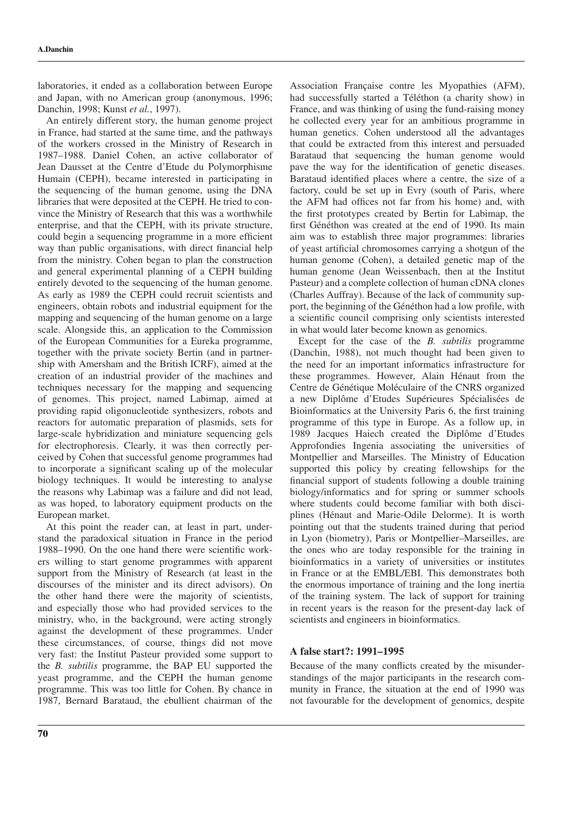laboratories, it ended as a collaboration between Europe and Japan, with no American group (anonymous, 1996; Danchin, 1998; Kunst *et al.*, 1997).

An entirely different story, the human genome project in France, had started at the same time, and the pathways of the workers crossed in the Ministry of Research in 1987–1988. Daniel Cohen, an active collaborator of Jean Dausset at the Centre d'Etude du Polymorphisme Humain (CEPH), became interested in participating in the sequencing of the human genome, using the DNA libraries that were deposited at the CEPH. He tried to convince the Ministry of Research that this was a worthwhile enterprise, and that the CEPH, with its private structure, could begin a sequencing programme in a more efficient way than public organisations, with direct financial help from the ministry. Cohen began to plan the construction and general experimental planning of a CEPH building entirely devoted to the sequencing of the human genome. As early as 1989 the CEPH could recruit scientists and engineers, obtain robots and industrial equipment for the mapping and sequencing of the human genome on a large scale. Alongside this, an application to the Commission of the European Communities for a Eureka programme, together with the private society Bertin (and in partnership with Amersham and the British ICRF), aimed at the creation of an industrial provider of the machines and techniques necessary for the mapping and sequencing of genomes. This project, named Labimap, aimed at providing rapid oligonucleotide synthesizers, robots and reactors for automatic preparation of plasmids, sets for large-scale hybridization and miniature sequencing gels for electrophoresis. Clearly, it was then correctly perceived by Cohen that successful genome programmes had to incorporate a significant scaling up of the molecular biology techniques. It would be interesting to analyse the reasons why Labimap was a failure and did not lead, as was hoped, to laboratory equipment products on the European market.

At this point the reader can, at least in part, understand the paradoxical situation in France in the period 1988–1990. On the one hand there were scientific workers willing to start genome programmes with apparent support from the Ministry of Research (at least in the discourses of the minister and its direct advisors). On the other hand there were the majority of scientists, and especially those who had provided services to the ministry, who, in the background, were acting strongly against the development of these programmes. Under these circumstances, of course, things did not move very fast: the Institut Pasteur provided some support to the *B. subtilis* programme, the BAP EU supported the yeast programme, and the CEPH the human genome programme. This was too little for Cohen. By chance in 1987, Bernard Barataud, the ebullient chairman of the

Association Française contre les Myopathies (AFM), had successfully started a Téléthon (a charity show) in France, and was thinking of using the fund-raising money he collected every year for an ambitious programme in human genetics. Cohen understood all the advantages that could be extracted from this interest and persuaded Barataud that sequencing the human genome would pave the way for the identification of genetic diseases. Barataud identified places where a centre, the size of a factory, could be set up in Evry (south of Paris, where the AFM had offices not far from his home) and, with the first prototypes created by Bertin for Labimap, the first Généthon was created at the end of 1990. Its main aim was to establish three major programmes: libraries of yeast artificial chromosomes carrying a shotgun of the human genome (Cohen), a detailed genetic map of the human genome (Jean Weissenbach, then at the Institut Pasteur) and a complete collection of human cDNA clones (Charles Auffray). Because of the lack of community support, the beginning of the Généthon had a low profile, with a scientific council comprising only scientists interested in what would later become known as genomics.

Except for the case of the *B. subtilis* programme (Danchin, 1988), not much thought had been given to the need for an important informatics infrastructure for these programmes. However, Alain Hénaut from the Centre de Génétique Moléculaire of the CNRS organized a new Diplôme d'Etudes Supérieures Spécialisées de Bioinformatics at the University Paris 6, the first training programme of this type in Europe. As a follow up, in 1989 Jacques Haiech created the Diplôme d'Etudes Approfondies Ingenia associating the universities of Montpellier and Marseilles. The Ministry of Education supported this policy by creating fellowships for the financial support of students following a double training biology/informatics and for spring or summer schools where students could become familiar with both disciplines (Hénaut and Marie-Odile Delorme). It is worth pointing out that the students trained during that period in Lyon (biometry), Paris or Montpellier–Marseilles, are the ones who are today responsible for the training in bioinformatics in a variety of universities or institutes in France or at the EMBL/EBI. This demonstrates both the enormous importance of training and the long inertia of the training system. The lack of support for training in recent years is the reason for the present-day lack of scientists and engineers in bioinformatics.

## **A false start?: 1991–1995**

Because of the many conflicts created by the misunderstandings of the major participants in the research community in France, the situation at the end of 1990 was not favourable for the development of genomics, despite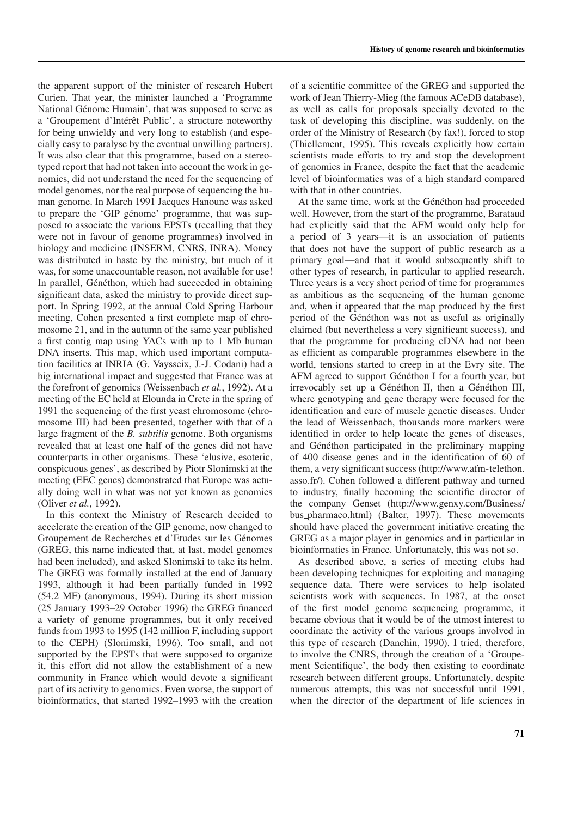the apparent support of the minister of research Hubert Curien. That year, the minister launched a 'Programme National Génome Humain', that was supposed to serve as a 'Groupement d'Intérêt Public', a structure noteworthy for being unwieldy and very long to establish (and especially easy to paralyse by the eventual unwilling partners). It was also clear that this programme, based on a stereotyped report that had not taken into account the work in genomics, did not understand the need for the sequencing of model genomes, nor the real purpose of sequencing the human genome. In March 1991 Jacques Hanoune was asked to prepare the 'GIP génome' programme, that was supposed to associate the various EPSTs (recalling that they were not in favour of genome programmes) involved in biology and medicine (INSERM, CNRS, INRA). Money was distributed in haste by the ministry, but much of it was, for some unaccountable reason, not available for use! In parallel, Généthon, which had succeeded in obtaining significant data, asked the ministry to provide direct support. In Spring 1992, at the annual Cold Spring Harbour meeting, Cohen presented a first complete map of chromosome 21, and in the autumn of the same year published a first contig map using YACs with up to 1 Mb human DNA inserts. This map, which used important computation facilities at INRIA (G. Vaysseix, J.-J. Codani) had a big international impact and suggested that France was at the forefront of genomics (Weissenbach *et al.*, 1992). At a meeting of the EC held at Elounda in Crete in the spring of 1991 the sequencing of the first yeast chromosome (chromosome III) had been presented, together with that of a large fragment of the *B. subtilis* genome. Both organisms revealed that at least one half of the genes did not have counterparts in other organisms. These 'elusive, esoteric, conspicuous genes', as described by Piotr Slonimski at the meeting (EEC genes) demonstrated that Europe was actually doing well in what was not yet known as genomics (Oliver *et al.*, 1992).

In this context the Ministry of Research decided to accelerate the creation of the GIP genome, now changed to Groupement de Recherches et d'Etudes sur les Genomes ´ (GREG, this name indicated that, at last, model genomes had been included), and asked Slonimski to take its helm. The GREG was formally installed at the end of January 1993, although it had been partially funded in 1992 (54.2 MF) (anonymous, 1994). During its short mission (25 January 1993–29 October 1996) the GREG financed a variety of genome programmes, but it only received funds from 1993 to 1995 (142 million F, including support to the CEPH) (Slonimski, 1996). Too small, and not supported by the EPSTs that were supposed to organize it, this effort did not allow the establishment of a new community in France which would devote a significant part of its activity to genomics. Even worse, the support of bioinformatics, that started 1992–1993 with the creation

of a scientific committee of the GREG and supported the work of Jean Thierry-Mieg (the famous ACeDB database), as well as calls for proposals specially devoted to the task of developing this discipline, was suddenly, on the order of the Ministry of Research (by fax!), forced to stop (Thiellement, 1995). This reveals explicitly how certain scientists made efforts to try and stop the development of genomics in France, despite the fact that the academic level of bioinformatics was of a high standard compared with that in other countries.

At the same time, work at the Généthon had proceeded well. However, from the start of the programme, Barataud had explicitly said that the AFM would only help for a period of 3 years—it is an association of patients that does not have the support of public research as a primary goal—and that it would subsequently shift to other types of research, in particular to applied research. Three years is a very short period of time for programmes as ambitious as the sequencing of the human genome and, when it appeared that the map produced by the first period of the Généthon was not as useful as originally claimed (but nevertheless a very significant success), and that the programme for producing cDNA had not been as efficient as comparable programmes elsewhere in the world, tensions started to creep in at the Evry site. The AFM agreed to support Généthon I for a fourth year, but irrevocably set up a Généthon II, then a Généthon III, where genotyping and gene therapy were focused for the identification and cure of muscle genetic diseases. Under the lead of Weissenbach, thousands more markers were identified in order to help locate the genes of diseases, and Généthon participated in the preliminary mapping of 400 disease genes and in the identification of 60 of them, a very significant success (http://www.afm-telethon. asso.fr/). Cohen followed a different pathway and turned to industry, finally becoming the scientific director of the company Genset (http://www.genxy.com/Business/ bus pharmaco.html) (Balter, 1997). These movements should have placed the government initiative creating the GREG as a major player in genomics and in particular in bioinformatics in France. Unfortunately, this was not so.

As described above, a series of meeting clubs had been developing techniques for exploiting and managing sequence data. There were services to help isolated scientists work with sequences. In 1987, at the onset of the first model genome sequencing programme, it became obvious that it would be of the utmost interest to coordinate the activity of the various groups involved in this type of research (Danchin, 1990). I tried, therefore, to involve the CNRS, through the creation of a 'Groupement Scientifique', the body then existing to coordinate research between different groups. Unfortunately, despite numerous attempts, this was not successful until 1991, when the director of the department of life sciences in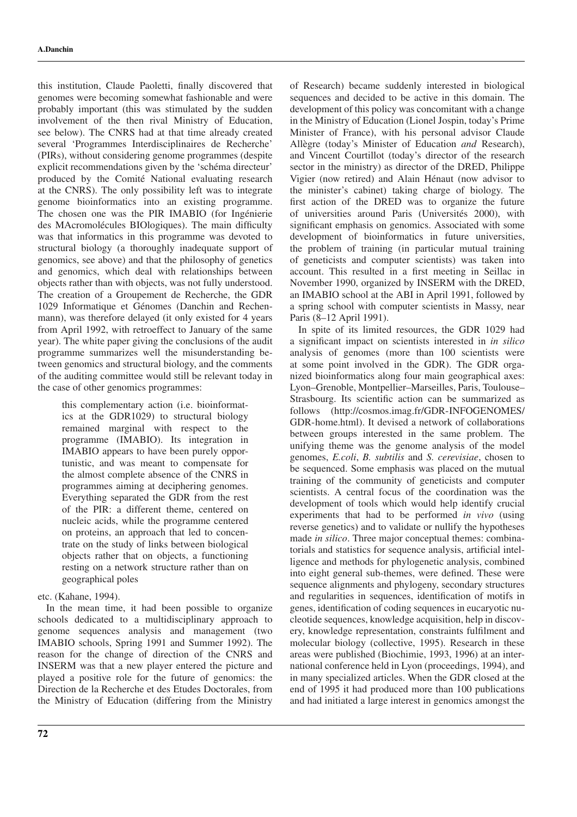this institution, Claude Paoletti, finally discovered that genomes were becoming somewhat fashionable and were probably important (this was stimulated by the sudden involvement of the then rival Ministry of Education, see below). The CNRS had at that time already created several 'Programmes Interdisciplinaires de Recherche' (PIRs), without considering genome programmes (despite explicit recommendations given by the 'schéma directeur' produced by the Comité National evaluating research at the CNRS). The only possibility left was to integrate genome bioinformatics into an existing programme. The chosen one was the PIR IMABIO (for Ingénierie des MAcromolécules BIOlogiques). The main difficulty was that informatics in this programme was devoted to structural biology (a thoroughly inadequate support of genomics, see above) and that the philosophy of genetics and genomics, which deal with relationships between objects rather than with objects, was not fully understood. The creation of a Groupement de Recherche, the GDR 1029 Informatique et Génomes (Danchin and Rechenmann), was therefore delayed (it only existed for 4 years from April 1992, with retroeffect to January of the same year). The white paper giving the conclusions of the audit programme summarizes well the misunderstanding between genomics and structural biology, and the comments of the auditing committee would still be relevant today in the case of other genomics programmes:

> this complementary action (i.e. bioinformatics at the GDR1029) to structural biology remained marginal with respect to the programme (IMABIO). Its integration in IMABIO appears to have been purely opportunistic, and was meant to compensate for the almost complete absence of the CNRS in programmes aiming at deciphering genomes. Everything separated the GDR from the rest of the PIR: a different theme, centered on nucleic acids, while the programme centered on proteins, an approach that led to concentrate on the study of links between biological objects rather that on objects, a functioning resting on a network structure rather than on geographical poles

etc. (Kahane, 1994).

In the mean time, it had been possible to organize schools dedicated to a multidisciplinary approach to genome sequences analysis and management (two IMABIO schools, Spring 1991 and Summer 1992). The reason for the change of direction of the CNRS and INSERM was that a new player entered the picture and played a positive role for the future of genomics: the Direction de la Recherche et des Etudes Doctorales, from the Ministry of Education (differing from the Ministry of Research) became suddenly interested in biological sequences and decided to be active in this domain. The development of this policy was concomitant with a change in the Ministry of Education (Lionel Jospin, today's Prime Minister of France), with his personal advisor Claude Allègre (today's Minister of Education *and* Research), and Vincent Courtillot (today's director of the research sector in the ministry) as director of the DRED, Philippe Vigier (now retired) and Alain Hénaut (now advisor to the minister's cabinet) taking charge of biology. The first action of the DRED was to organize the future of universities around Paris (Universités 2000), with significant emphasis on genomics. Associated with some development of bioinformatics in future universities, the problem of training (in particular mutual training of geneticists and computer scientists) was taken into account. This resulted in a first meeting in Seillac in November 1990, organized by INSERM with the DRED, an IMABIO school at the ABI in April 1991, followed by a spring school with computer scientists in Massy, near Paris (8–12 April 1991).

In spite of its limited resources, the GDR 1029 had a significant impact on scientists interested in *in silico* analysis of genomes (more than 100 scientists were at some point involved in the GDR). The GDR organized bioinformatics along four main geographical axes: Lyon–Grenoble, Montpellier–Marseilles, Paris, Toulouse– Strasbourg. Its scientific action can be summarized as follows (http://cosmos.imag.fr/GDR-INFOGENOMES/ GDR-home.html). It devised a network of collaborations between groups interested in the same problem. The unifying theme was the genome analysis of the model genomes, *E.coli*, *B. subtilis* and *S. cerevisiae*, chosen to be sequenced. Some emphasis was placed on the mutual training of the community of geneticists and computer scientists. A central focus of the coordination was the development of tools which would help identify crucial experiments that had to be performed *in vivo* (using reverse genetics) and to validate or nullify the hypotheses made *in silico*. Three major conceptual themes: combinatorials and statistics for sequence analysis, artificial intelligence and methods for phylogenetic analysis, combined into eight general sub-themes, were defined. These were sequence alignments and phylogeny, secondary structures and regularities in sequences, identification of motifs in genes, identification of coding sequences in eucaryotic nucleotide sequences, knowledge acquisition, help in discovery, knowledge representation, constraints fulfilment and molecular biology (collective, 1995). Research in these areas were published (Biochimie, 1993, 1996) at an international conference held in Lyon (proceedings, 1994), and in many specialized articles. When the GDR closed at the end of 1995 it had produced more than 100 publications and had initiated a large interest in genomics amongst the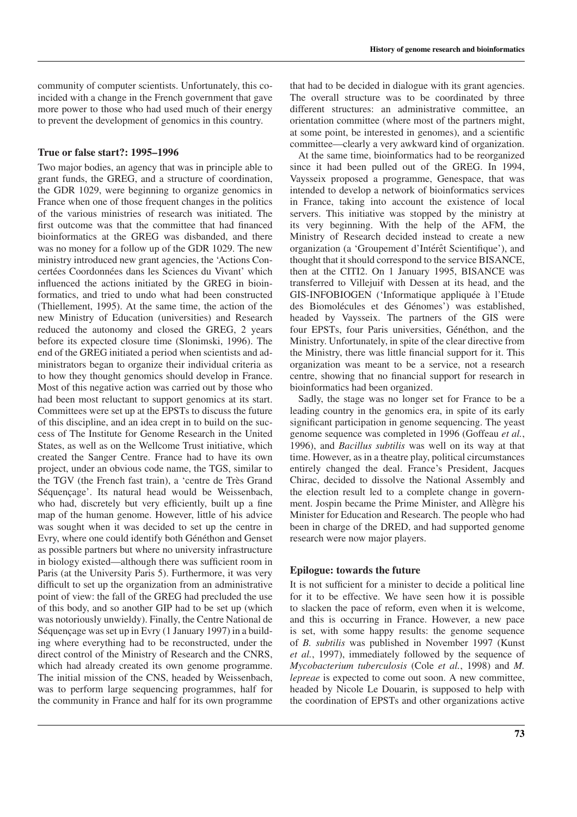community of computer scientists. Unfortunately, this coincided with a change in the French government that gave more power to those who had used much of their energy to prevent the development of genomics in this country.

#### **True or false start?: 1995–1996**

Two major bodies, an agency that was in principle able to grant funds, the GREG, and a structure of coordination, the GDR 1029, were beginning to organize genomics in France when one of those frequent changes in the politics of the various ministries of research was initiated. The first outcome was that the committee that had financed bioinformatics at the GREG was disbanded, and there was no money for a follow up of the GDR 1029. The new ministry introduced new grant agencies, the 'Actions Concertées Coordonnées dans les Sciences du Vivant' which influenced the actions initiated by the GREG in bioinformatics, and tried to undo what had been constructed (Thiellement, 1995). At the same time, the action of the new Ministry of Education (universities) and Research reduced the autonomy and closed the GREG, 2 years before its expected closure time (Slonimski, 1996). The end of the GREG initiated a period when scientists and administrators began to organize their individual criteria as to how they thought genomics should develop in France. Most of this negative action was carried out by those who had been most reluctant to support genomics at its start. Committees were set up at the EPSTs to discuss the future of this discipline, and an idea crept in to build on the success of The Institute for Genome Research in the United States, as well as on the Wellcome Trust initiative, which created the Sanger Centre. France had to have its own project, under an obvious code name, the TGS, similar to the TGV (the French fast train), a 'centre de Très Grand Séquençage'. Its natural head would be Weissenbach, who had, discretely but very efficiently, built up a fine map of the human genome. However, little of his advice was sought when it was decided to set up the centre in Evry, where one could identify both Généthon and Genset as possible partners but where no university infrastructure in biology existed—although there was sufficient room in Paris (at the University Paris 5). Furthermore, it was very difficult to set up the organization from an administrative point of view: the fall of the GREG had precluded the use of this body, and so another GIP had to be set up (which was notoriously unwieldy). Finally, the Centre National de Séquençage was set up in Evry (1 January 1997) in a building where everything had to be reconstructed, under the direct control of the Ministry of Research and the CNRS, which had already created its own genome programme. The initial mission of the CNS, headed by Weissenbach, was to perform large sequencing programmes, half for the community in France and half for its own programme

that had to be decided in dialogue with its grant agencies. The overall structure was to be coordinated by three different structures: an administrative committee, an orientation committee (where most of the partners might, at some point, be interested in genomes), and a scientific committee—clearly a very awkward kind of organization.

At the same time, bioinformatics had to be reorganized since it had been pulled out of the GREG. In 1994, Vaysseix proposed a programme, Genespace, that was intended to develop a network of bioinformatics services in France, taking into account the existence of local servers. This initiative was stopped by the ministry at its very beginning. With the help of the AFM, the Ministry of Research decided instead to create a new organization (a 'Groupement d'Intérêt Scientifique'), and thought that it should correspond to the service BISANCE, then at the CITI2. On 1 January 1995, BISANCE was transferred to Villejuif with Dessen at its head, and the GIS-INFOBIOGEN ('Informatique appliquée à l'Etude des Biomolécules et des Génomes' was established, headed by Vaysseix. The partners of the GIS were four EPSTs, four Paris universities, Généthon, and the Ministry. Unfortunately, in spite of the clear directive from the Ministry, there was little financial support for it. This organization was meant to be a service, not a research centre, showing that no financial support for research in bioinformatics had been organized.

Sadly, the stage was no longer set for France to be a leading country in the genomics era, in spite of its early significant participation in genome sequencing. The yeast genome sequence was completed in 1996 (Goffeau *et al.*, 1996), and *Bacillus subtilis* was well on its way at that time. However, as in a theatre play, political circumstances entirely changed the deal. France's President, Jacques Chirac, decided to dissolve the National Assembly and the election result led to a complete change in government. Jospin became the Prime Minister, and Allegre his ` Minister for Education and Research. The people who had been in charge of the DRED, and had supported genome research were now major players.

#### **Epilogue: towards the future**

It is not sufficient for a minister to decide a political line for it to be effective. We have seen how it is possible to slacken the pace of reform, even when it is welcome, and this is occurring in France. However, a new pace is set, with some happy results: the genome sequence of *B. subtilis* was published in November 1997 (Kunst *et al.*, 1997), immediately followed by the sequence of *Mycobacterium tuberculosis* (Cole *et al.*, 1998) and *M. lepreae* is expected to come out soon. A new committee, headed by Nicole Le Douarin, is supposed to help with the coordination of EPSTs and other organizations active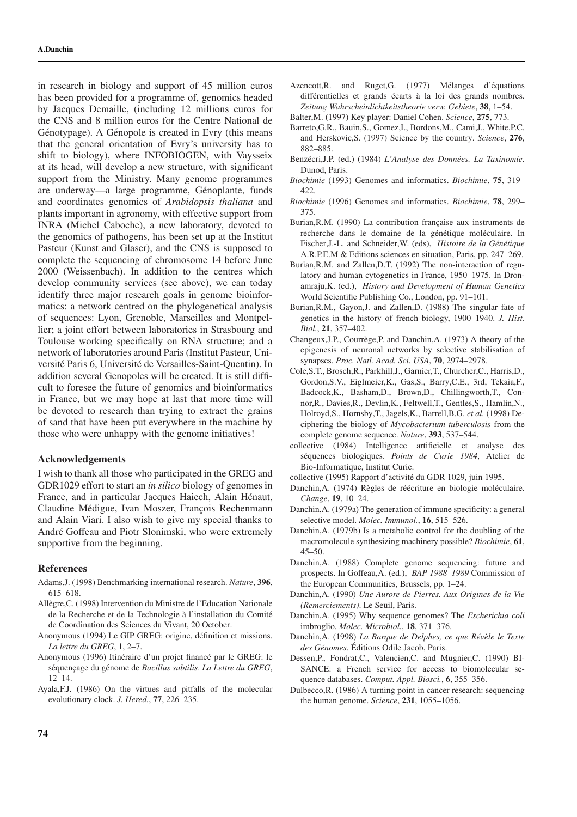in research in biology and support of 45 million euros has been provided for a programme of, genomics headed by Jacques Demaille, (including 12 millions euros for the CNS and 8 million euros for the Centre National de Génotypage). A Génopole is created in Evry (this means that the general orientation of Evry's university has to shift to biology), where INFOBIOGEN, with Vaysseix at its head, will develop a new structure, with significant support from the Ministry. Many genome programmes are underway—a large programme, Génoplante, funds and coordinates genomics of *Arabidopsis thaliana* and plants important in agronomy, with effective support from INRA (Michel Caboche), a new laboratory, devoted to the genomics of pathogens, has been set up at the Institut Pasteur (Kunst and Glaser), and the CNS is supposed to complete the sequencing of chromosome 14 before June 2000 (Weissenbach). In addition to the centres which develop community services (see above), we can today identify three major research goals in genome bioinformatics: a network centred on the phylogenetical analysis of sequences: Lyon, Grenoble, Marseilles and Montpellier; a joint effort between laboratories in Strasbourg and Toulouse working specifically on RNA structure; and a network of laboratories around Paris (Institut Pasteur, Université Paris 6, Université de Versailles-Saint-Quentin). In addition several Genopoles will be created. It is still difficult to foresee the future of genomics and bioinformatics in France, but we may hope at last that more time will be devoted to research than trying to extract the grains of sand that have been put everywhere in the machine by those who were unhappy with the genome initiatives!

#### **Acknowledgements**

I wish to thank all those who participated in the GREG and GDR1029 effort to start an *in silico* biology of genomes in France, and in particular Jacques Haiech, Alain Hénaut, Claudine Médigue, Ivan Moszer, François Rechenmann and Alain Viari. I also wish to give my special thanks to André Goffeau and Piotr Slonimski, who were extremely supportive from the beginning.

#### **References**

- Adams,J. (1998) Benchmarking international research. *Nature*, **396**, 615–618.
- Allègre, C. (1998) Intervention du Ministre de l'Education Nationale de la Recherche et de la Technologie à l'installation du Comité de Coordination des Sciences du Vivant, 20 October.
- Anonymous (1994) Le GIP GREG: origine, définition et missions. *La lettre du GREG*, **1**, 2–7.
- Anonymous (1996) Itinéraire d'un projet financé par le GREG: le séquençage du génome de Bacillus subtilis. La Lettre du GREG, 12–14.
- Ayala,F.J. (1986) On the virtues and pitfalls of the molecular evolutionary clock. *J. Hered.*, **77**, 226–235.
- Azencott, R. and Ruget, G. (1977) Mélanges d'équations différentielles et grands écarts à la loi des grands nombres. *Zeitung Wahrscheinlichtkeitstheorie verw. Gebiete*, **38**, 1–54.
- Balter,M. (1997) Key player: Daniel Cohen. *Science*, **275**, 773.
- Barreto,G.R., Bauin,S., Gomez,I., Bordons,M., Cami,J., White,P.C. and Herskovic,S. (1997) Science by the country. *Science*, **276**, 882–885.
- Benzécri, J.P. (ed.) (1984) *L'Analyse des Données. La Taxinomie*. Dunod, Paris.
- *Biochimie* (1993) Genomes and informatics. *Biochimie*, **75**, 319– 422.
- *Biochimie* (1996) Genomes and informatics. *Biochimie*, **78**, 299– 375.
- Burian, R.M. (1990) La contribution française aux instruments de recherche dans le domaine de la génétique moléculaire. In Fischer, J.-L. and Schneider, W. (eds), *Histoire de la Génétique* A.R.P.E.M & Editions sciences en situation, Paris, pp. 247–269.
- Burian,R.M. and Zallen,D.T. (1992) The non-interaction of regulatory and human cytogenetics in France, 1950–1975. In Dronamraju,K. (ed.), *History and Development of Human Genetics* World Scientific Publishing Co., London, pp. 91–101.
- Burian,R.M., Gayon,J. and Zallen,D. (1988) The singular fate of genetics in the history of french biology, 1900–1940. *J. Hist. Biol.*, **21**, 357–402.
- Changeux, J.P., Courrège, P. and Danchin, A. (1973) A theory of the epigenesis of neuronal networks by selective stabilisation of synapses. *Proc. Natl. Acad. Sci. USA*, **70**, 2974–2978.
- Cole,S.T., Brosch,R., Parkhill,J., Garnier,T., Churcher,C., Harris,D., Gordon,S.V., Eiglmeier,K., Gas,S., Barry,C.E., 3rd, Tekaia,F., Badcock,K., Basham,D., Brown,D., Chillingworth,T., Connor,R., Davies,R., Devlin,K., Feltwell,T., Gentles,S., Hamlin,N., Holroyd,S., Hornsby,T., Jagels,K., Barrell,B.G. *et al.* (1998) Deciphering the biology of *Mycobacterium tuberculosis* from the complete genome sequence. *Nature*, **393**, 537–544.
- collective (1984) Intelligence artificielle et analyse des séquences biologiques. Points de Curie 1984, Atelier de Bio-Informatique, Institut Curie.
- collective (1995) Rapport d'activite du GDR 1029, juin 1995. ´
- Danchin, A. (1974) Règles de réécriture en biologie moléculaire. *Change*, **19**, 10–24.
- Danchin,A. (1979a) The generation of immune specificity: a general selective model. *Molec. Immunol.*, **16**, 515–526.
- Danchin,A. (1979b) Is a metabolic control for the doubling of the macromolecule synthesizing machinery possible? *Biochimie*, **61**, 45–50.
- Danchin,A. (1988) Complete genome sequencing: future and prospects. In Goffeau,A. (ed.), *BAP 1988–1989* Commission of the European Communities, Brussels, pp. 1–24.
- Danchin,A. (1990) *Une Aurore de Pierres. Aux Origines de la Vie (Remerciements)*. Le Seuil, Paris.
- Danchin,A. (1995) Why sequence genomes? The *Escherichia coli* imbroglio*. Molec. Microbiol.*, **18**, 371–376.
- Danchin, A. (1998) *La Barque de Delphes, ce que Révèle le Texte des Genomes ´* . Editions Odile Jacob, Paris. ´
- Dessen,P., Fondrat,C., Valencien,C. and Mugnier,C. (1990) BI-SANCE: a French service for access to biomolecular sequence databases. *Comput. Appl. Biosci.*, **6**, 355–356.
- Dulbecco,R. (1986) A turning point in cancer research: sequencing the human genome. *Science*, **231**, 1055–1056.